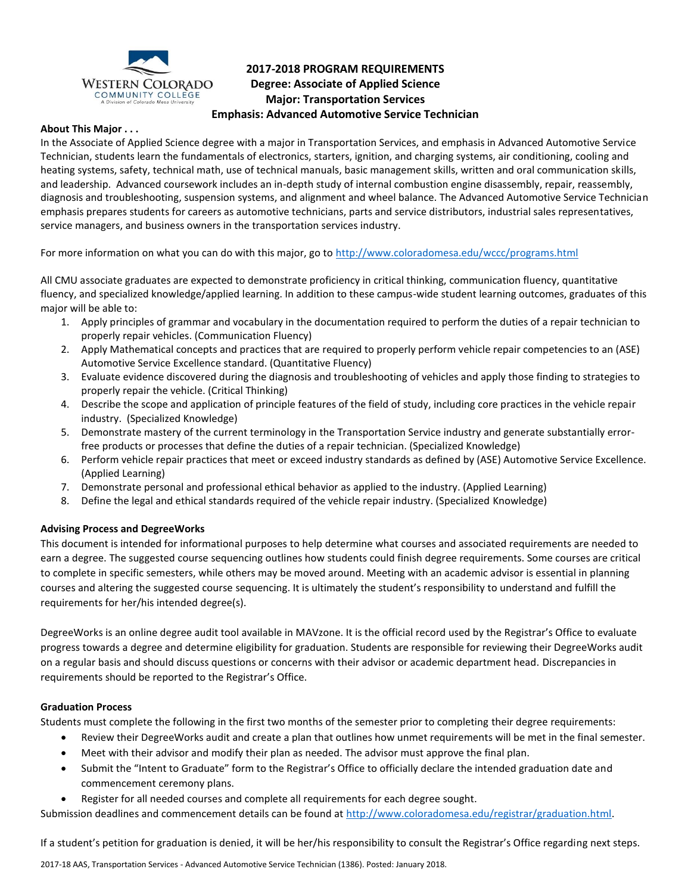

# **2017-2018 PROGRAM REQUIREMENTS Degree: Associate of Applied Science Major: Transportation Services Emphasis: Advanced Automotive Service Technician**

### **About This Major . . .**

In the Associate of Applied Science degree with a major in Transportation Services, and emphasis in Advanced Automotive Service Technician, students learn the fundamentals of electronics, starters, ignition, and charging systems, air conditioning, cooling and heating systems, safety, technical math, use of technical manuals, basic management skills, written and oral communication skills, and leadership. Advanced coursework includes an in-depth study of internal combustion engine disassembly, repair, reassembly, diagnosis and troubleshooting, suspension systems, and alignment and wheel balance. The Advanced Automotive Service Technician emphasis prepares students for careers as automotive technicians, parts and service distributors, industrial sales representatives, service managers, and business owners in the transportation services industry.

For more information on what you can do with this major, go to<http://www.coloradomesa.edu/wccc/programs.html>

All CMU associate graduates are expected to demonstrate proficiency in critical thinking, communication fluency, quantitative fluency, and specialized knowledge/applied learning. In addition to these campus-wide student learning outcomes, graduates of this major will be able to:

- 1. Apply principles of grammar and vocabulary in the documentation required to perform the duties of a repair technician to properly repair vehicles. (Communication Fluency)
- 2. Apply Mathematical concepts and practices that are required to properly perform vehicle repair competencies to an (ASE) Automotive Service Excellence standard. (Quantitative Fluency)
- 3. Evaluate evidence discovered during the diagnosis and troubleshooting of vehicles and apply those finding to strategies to properly repair the vehicle. (Critical Thinking)
- 4. Describe the scope and application of principle features of the field of study, including core practices in the vehicle repair industry. (Specialized Knowledge)
- 5. Demonstrate mastery of the current terminology in the Transportation Service industry and generate substantially errorfree products or processes that define the duties of a repair technician. (Specialized Knowledge)
- 6. Perform vehicle repair practices that meet or exceed industry standards as defined by (ASE) Automotive Service Excellence. (Applied Learning)
- 7. Demonstrate personal and professional ethical behavior as applied to the industry. (Applied Learning)
- 8. Define the legal and ethical standards required of the vehicle repair industry. (Specialized Knowledge)

## **Advising Process and DegreeWorks**

This document is intended for informational purposes to help determine what courses and associated requirements are needed to earn a degree. The suggested course sequencing outlines how students could finish degree requirements. Some courses are critical to complete in specific semesters, while others may be moved around. Meeting with an academic advisor is essential in planning courses and altering the suggested course sequencing. It is ultimately the student's responsibility to understand and fulfill the requirements for her/his intended degree(s).

DegreeWorks is an online degree audit tool available in MAVzone. It is the official record used by the Registrar's Office to evaluate progress towards a degree and determine eligibility for graduation. Students are responsible for reviewing their DegreeWorks audit on a regular basis and should discuss questions or concerns with their advisor or academic department head. Discrepancies in requirements should be reported to the Registrar's Office.

#### **Graduation Process**

Students must complete the following in the first two months of the semester prior to completing their degree requirements:

- Review their DegreeWorks audit and create a plan that outlines how unmet requirements will be met in the final semester.
- Meet with their advisor and modify their plan as needed. The advisor must approve the final plan.
- Submit the "Intent to Graduate" form to the Registrar's Office to officially declare the intended graduation date and commencement ceremony plans.
- Register for all needed courses and complete all requirements for each degree sought.

Submission deadlines and commencement details can be found at [http://www.coloradomesa.edu/registrar/graduation.html.](http://www.coloradomesa.edu/registrar/graduation.html)

If a student's petition for graduation is denied, it will be her/his responsibility to consult the Registrar's Office regarding next steps.

2017-18 AAS, Transportation Services - Advanced Automotive Service Technician (1386). Posted: January 2018.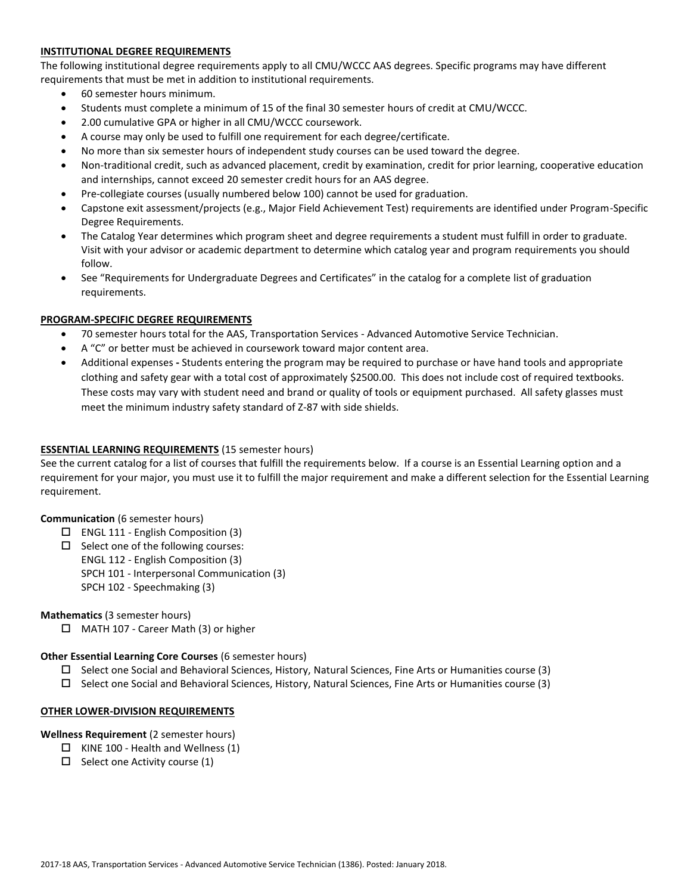## **INSTITUTIONAL DEGREE REQUIREMENTS**

The following institutional degree requirements apply to all CMU/WCCC AAS degrees. Specific programs may have different requirements that must be met in addition to institutional requirements.

- 60 semester hours minimum.
- Students must complete a minimum of 15 of the final 30 semester hours of credit at CMU/WCCC.
- 2.00 cumulative GPA or higher in all CMU/WCCC coursework.
- A course may only be used to fulfill one requirement for each degree/certificate.
- No more than six semester hours of independent study courses can be used toward the degree.
- Non-traditional credit, such as advanced placement, credit by examination, credit for prior learning, cooperative education and internships, cannot exceed 20 semester credit hours for an AAS degree.
- Pre-collegiate courses (usually numbered below 100) cannot be used for graduation.
- Capstone exit assessment/projects (e.g., Major Field Achievement Test) requirements are identified under Program-Specific Degree Requirements.
- The Catalog Year determines which program sheet and degree requirements a student must fulfill in order to graduate. Visit with your advisor or academic department to determine which catalog year and program requirements you should follow.
- See "Requirements for Undergraduate Degrees and Certificates" in the catalog for a complete list of graduation requirements.

#### **PROGRAM-SPECIFIC DEGREE REQUIREMENTS**

- 70 semester hours total for the AAS, Transportation Services Advanced Automotive Service Technician.
- A "C" or better must be achieved in coursework toward major content area.
- Additional expenses **-** Students entering the program may be required to purchase or have hand tools and appropriate clothing and safety gear with a total cost of approximately \$2500.00. This does not include cost of required textbooks. These costs may vary with student need and brand or quality of tools or equipment purchased. All safety glasses must meet the minimum industry safety standard of Z-87 with side shields.

### **ESSENTIAL LEARNING REQUIREMENTS** (15 semester hours)

See the current catalog for a list of courses that fulfill the requirements below. If a course is an Essential Learning option and a requirement for your major, you must use it to fulfill the major requirement and make a different selection for the Essential Learning requirement.

### **Communication** (6 semester hours)

- ENGL 111 English Composition (3)
- $\square$  Select one of the following courses:
	- ENGL 112 English Composition (3)
	- SPCH 101 Interpersonal Communication (3)
	- SPCH 102 Speechmaking (3)

#### **Mathematics** (3 semester hours)

□ MATH 107 - Career Math (3) or higher

#### **Other Essential Learning Core Courses** (6 semester hours)

- $\square$  Select one Social and Behavioral Sciences, History, Natural Sciences, Fine Arts or Humanities course (3)
- $\square$  Select one Social and Behavioral Sciences, History, Natural Sciences, Fine Arts or Humanities course (3)

#### **OTHER LOWER-DIVISION REQUIREMENTS**

#### **Wellness Requirement** (2 semester hours)

- $\Box$  KINE 100 Health and Wellness (1)
- $\Box$  Select one Activity course (1)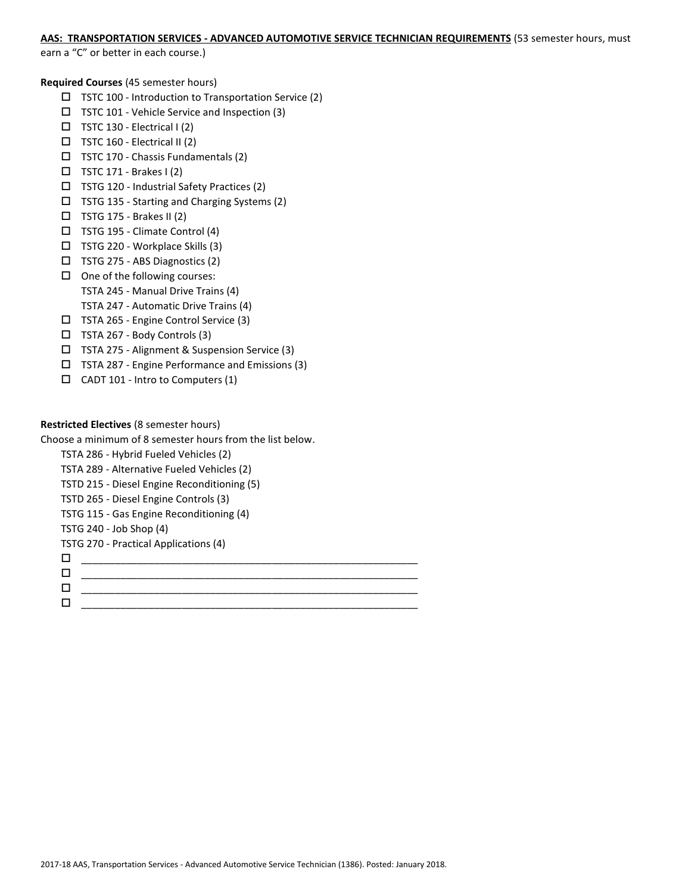# **AAS: TRANSPORTATION SERVICES - ADVANCED AUTOMOTIVE SERVICE TECHNICIAN REQUIREMENTS** (53 semester hours, must

earn a "C" or better in each course.)

**Required Courses** (45 semester hours)

- $\Box$  TSTC 100 Introduction to Transportation Service (2)
- TSTC 101 Vehicle Service and Inspection (3)
- $\Box$  TSTC 130 Electrical I (2)
- $\square$  TSTC 160 Electrical II (2)
- $\Box$  TSTC 170 Chassis Fundamentals (2)
- $\Box$  TSTC 171 Brakes I (2)
- $\square$  TSTG 120 Industrial Safety Practices (2)
- TSTG 135 Starting and Charging Systems (2)
- $\Box$  TSTG 175 Brakes II (2)
- TSTG 195 Climate Control (4)
- TSTG 220 Workplace Skills (3)
- TSTG 275 ABS Diagnostics (2)  $\Box$  One of the following courses:
	- TSTA 245 Manual Drive Trains (4)
- TSTA 247 Automatic Drive Trains (4)
- TSTA 265 Engine Control Service (3)
- TSTA 267 Body Controls (3)
- TSTA 275 Alignment & Suspension Service (3)
- TSTA 287 Engine Performance and Emissions (3)
- $\Box$  CADT 101 Intro to Computers (1)

### **Restricted Electives** (8 semester hours)

Choose a minimum of 8 semester hours from the list below.

```
TSTA 286 - Hybrid Fueled Vehicles (2)
TSTA 289 - Alternative Fueled Vehicles (2)
TSTD 215 - Diesel Engine Reconditioning (5)
TSTD 265 - Diesel Engine Controls (3)
TSTG 115 - Gas Engine Reconditioning (4)
TSTG 240 - Job Shop (4)
```
TSTG 270 - Practical Applications (4)

- \_\_\_\_\_\_\_\_\_\_\_\_\_\_\_\_\_\_\_\_\_\_\_\_\_\_\_\_\_\_\_\_\_\_\_\_\_\_\_\_\_\_\_\_\_\_\_\_\_\_\_\_\_\_\_\_\_\_\_\_
- \_\_\_\_\_\_\_\_\_\_\_\_\_\_\_\_\_\_\_\_\_\_\_\_\_\_\_\_\_\_\_\_\_\_\_\_\_\_\_\_\_\_\_\_\_\_\_\_\_\_\_\_\_\_\_\_\_\_\_\_
- \_\_\_\_\_\_\_\_\_\_\_\_\_\_\_\_\_\_\_\_\_\_\_\_\_\_\_\_\_\_\_\_\_\_\_\_\_\_\_\_\_\_\_\_\_\_\_\_\_\_\_\_\_\_\_\_\_\_\_\_

\_\_\_\_\_\_\_\_\_\_\_\_\_\_\_\_\_\_\_\_\_\_\_\_\_\_\_\_\_\_\_\_\_\_\_\_\_\_\_\_\_\_\_\_\_\_\_\_\_\_\_\_\_\_\_\_\_\_\_\_